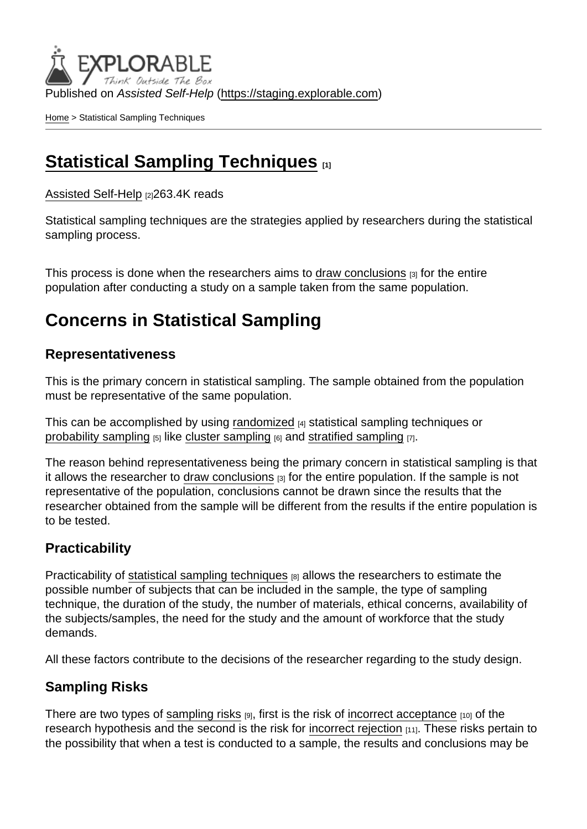Published on Assisted Self-Help [\(https://staging.explorable.com](https://staging.explorable.com))

[Home](https://staging.explorable.com/en) > Statistical Sampling Techniques

## [Statistical Sampling Techniques](https://staging.explorable.com/en/statistical-sampling-techniques) [1]

[Assisted Self-Help](https://staging.explorable.com/en) [2]263.4K reads

Statistical sampling techniques are the strategies applied by researchers during the statistical sampling process.

This process is done when the researchers aims to [draw conclusions](https://staging.explorable.com/drawing-conclusions)  $\beta$  for the entire population after conducting a study on a sample taken from the same population.

# Concerns in Statistical Sampling

### Representativeness

This is the primary concern in statistical sampling. The sample obtained from the population must be representative of the same population.

This can be accomplished by using [randomized](https://staging.explorable.com/randomized-controlled-trials) [4] statistical sampling techniques or [probability sampling](https://staging.explorable.com/probability-sampling)  $[5]$  like [cluster sampling](https://staging.explorable.com/cluster-sampling)  $[6]$  and [stratified sampling](https://staging.explorable.com/stratified-sampling)  $[7]$ .

The reason behind representativeness being the primary concern in statistical sampling is that it allows the researcher to [draw conclusions](https://staging.explorable.com/drawing-conclusions) [3] for the entire population. If the sample is not representative of the population, conclusions cannot be drawn since the results that the researcher obtained from the sample will be different from the results if the entire population is to be tested.

### **Practicability**

Practicability of [statistical sampling techniques](http://www.socialresearchmethods.net/kb/sampstat.php) [8] allows the researchers to estimate the possible number of subjects that can be included in the sample, the type of sampling technique, the duration of the study, the number of materials, ethical concerns, availability of the subjects/samples, the need for the study and the amount of workforce that the study demands.

All these factors contribute to the decisions of the researcher regarding to the study design.

### Sampling Risks

There are two types of [sampling risks](https://staging.explorable.com/sampling-error)  $[9]$ , first is the risk of [incorrect acceptance](https://staging.explorable.com/type-I-error)  $[10]$  of the research hypothesis and the second is the risk for [incorrect rejection](https://staging.explorable.com/experimental-error) [11]. These risks pertain to the possibility that when a test is conducted to a sample, the results and conclusions may be